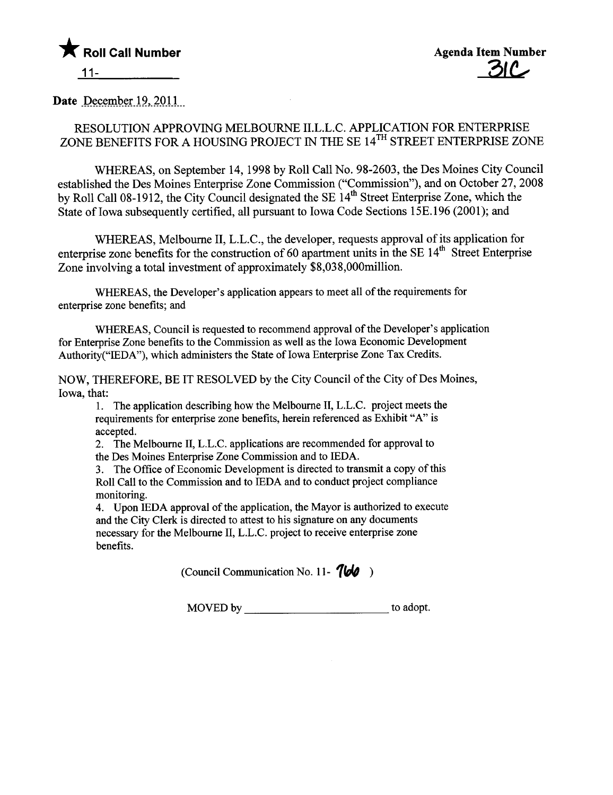

Date December 19, 2011

## RESOLUTION APPROVING MELBOURNE II.L.L.C. APPLICATION FOR ENTERPRISE ZONE BENEFITS FOR A HOUSING PROJECT IN THE SE 14TH STREET ENTERPRISE ZONE

WHEREAS, on September 14, 1998 by Roll Call No. 98-2603, the Des Moines City Council established the Des Moines Enterprise Zone Commission ("Commission"), and on October 27, 2008 by Roll Call 08-1912, the City Council designated the SE 14<sup>th</sup> Street Enterprise Zone, which the State of Iowa subsequently certified, all pursuant to Iowa Code Sections 15E.196 (2001); and

WHEREAS, Melbourne II, L.L.C., the developer, requests approval of its application for enterprise zone benefits for the construction of 60 apartment units in the SE 14<sup>th</sup> Street Enterprise Zone involving a total investment of approximately \$8,038,000milion.

WHREAS, the Developer's application appears to meet all of the requirements for enterprise zone benefits; and

WHREAS, Council is requested to recommend approval of the Developer's application for Enterprise Zone benefits to the Commission as well as the Iowa Economic Development Authority("IEDA"), which administers the State of Iowa Enterprise Zone Tax Credits.

NOW, THEREFORE, BE IT RESOLVED by the City Council of the City of Des Moines, Iowa, that:

1. The application describing how the Melboure II, L.L.C. project meets the requirements for enterprise zone benefits, herein referenced as Exhibit "A" is accepted.

2. The Melbourne II, L.L.C. applications are recommended for approval to the Des Moines Enterprise Zone Commission and to IEDA.

3. The Office of Economic Development is directed to transmit a copy of this Roll Call to the Commission and to IEDA and to conduct project compliance monitoring.

4. Upon IEDA approval of the application, the Mayor is authorized to execute and the City Clerk is directed to attest to his signature on any documents necessary for the Melbourne II, L.L.C. project to receive enterprise zone benefits.

(Council Communication No. 11-  $766$ )

MOVED by to adopt.